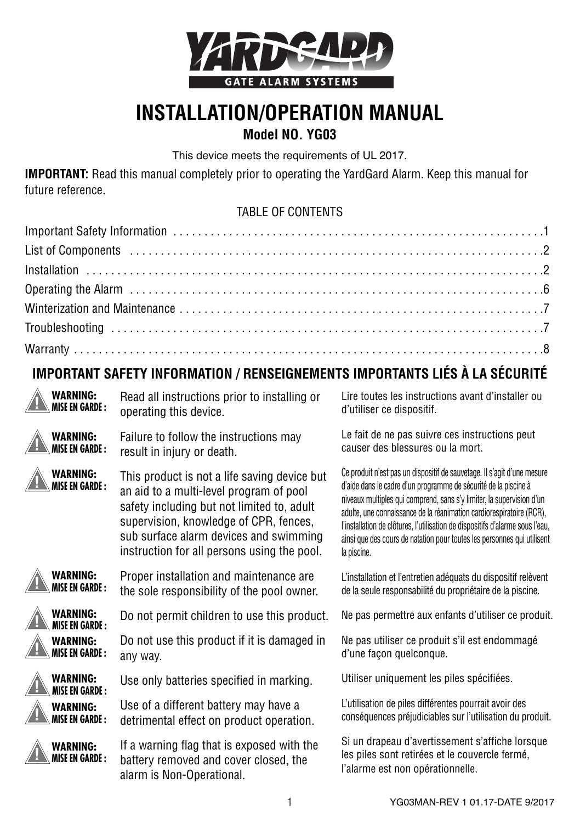

# **INSTALLATION/OPERATION MANUAL**

#### **Model NO. YG03**

This device meets the requirements of UL 2017.

**IMPORTANT:** Read this manual completely prior to operating the YardGard Alarm. Keep this manual for future reference.

#### TABLE OF CONTENTS

### **IMPORTANT SAFETY INFORMATION / RENSEIGNEMENTS IMPORTANTS LIÉS À LA SÉCURITÉ**

| <b>WARNING:</b>                          | Read all instructions prior to installing or                                                                                                                                                                                                                             | Lire toutes les instructions avant d'installer ou                                                                                                                                                                                                                                                                                                                                                                                                                      |
|------------------------------------------|--------------------------------------------------------------------------------------------------------------------------------------------------------------------------------------------------------------------------------------------------------------------------|------------------------------------------------------------------------------------------------------------------------------------------------------------------------------------------------------------------------------------------------------------------------------------------------------------------------------------------------------------------------------------------------------------------------------------------------------------------------|
| <b>MISE EN GARDE:</b>                    | operating this device.                                                                                                                                                                                                                                                   | d'utiliser ce dispositif.                                                                                                                                                                                                                                                                                                                                                                                                                                              |
| <b>WARNING:</b>                          | Failure to follow the instructions may                                                                                                                                                                                                                                   | Le fait de ne pas suivre ces instructions peut                                                                                                                                                                                                                                                                                                                                                                                                                         |
| <b>MISE EN GARDE :</b>                   | result in injury or death.                                                                                                                                                                                                                                               | causer des blessures ou la mort.                                                                                                                                                                                                                                                                                                                                                                                                                                       |
| <b>WARNING:</b><br><b>MISE EN GARDE:</b> | This product is not a life saving device but<br>an aid to a multi-level program of pool<br>safety including but not limited to, adult<br>supervision, knowledge of CPR, fences,<br>sub surface alarm devices and swimming<br>instruction for all persons using the pool. | Ce produit n'est pas un dispositif de sauvetage. Il s'agit d'une mesure<br>d'aide dans le cadre d'un programme de sécurité de la piscine à<br>niveaux multiples qui comprend, sans s'y limiter, la supervision d'un<br>adulte, une connaissance de la réanimation cardiorespiratoire (RCR),<br>l'installation de clôtures, l'utilisation de dispositifs d'alarme sous l'eau,<br>ainsi que des cours de natation pour toutes les personnes qui utilisent<br>la piscine. |
| <b>WARNING:</b>                          | Proper installation and maintenance are                                                                                                                                                                                                                                  | L'installation et l'entretien adéquats du dispositif relèvent                                                                                                                                                                                                                                                                                                                                                                                                          |
| MISE EN GARDE :                          | the sole responsibility of the pool owner.                                                                                                                                                                                                                               | de la seule responsabilité du propriétaire de la piscine.                                                                                                                                                                                                                                                                                                                                                                                                              |
| WARNING:<br><b>MISE EN GARDE:</b>        | Do not permit children to use this product.                                                                                                                                                                                                                              | Ne pas permettre aux enfants d'utiliser ce produit.                                                                                                                                                                                                                                                                                                                                                                                                                    |
| <b>WARNING:</b>                          | Do not use this product if it is damaged in                                                                                                                                                                                                                              | Ne pas utiliser ce produit s'il est endommagé                                                                                                                                                                                                                                                                                                                                                                                                                          |
| <b>MISE EN GARDE:</b>                    | any way.                                                                                                                                                                                                                                                                 | d'une facon quelconque.                                                                                                                                                                                                                                                                                                                                                                                                                                                |
| <b>WARNING:</b><br><b>MISE EN GARDE:</b> | Use only batteries specified in marking.                                                                                                                                                                                                                                 | Utiliser uniquement les piles spécifiées.                                                                                                                                                                                                                                                                                                                                                                                                                              |
| <b>WARNING:</b>                          | Use of a different battery may have a                                                                                                                                                                                                                                    | L'utilisation de piles différentes pourrait avoir des                                                                                                                                                                                                                                                                                                                                                                                                                  |
| <b>MISE EN GARDE :</b>                   | detrimental effect on product operation.                                                                                                                                                                                                                                 | conséquences préjudiciables sur l'utilisation du produit.                                                                                                                                                                                                                                                                                                                                                                                                              |
| <b>WARNING:</b><br><b>MISE EN GARDE:</b> | If a warning flag that is exposed with the<br>battery removed and cover closed, the<br>alarm is Non-Operational.                                                                                                                                                         | Si un drapeau d'avertissement s'affiche lorsque<br>les piles sont retirées et le couvercle fermé,<br>l'alarme est non opérationnelle.                                                                                                                                                                                                                                                                                                                                  |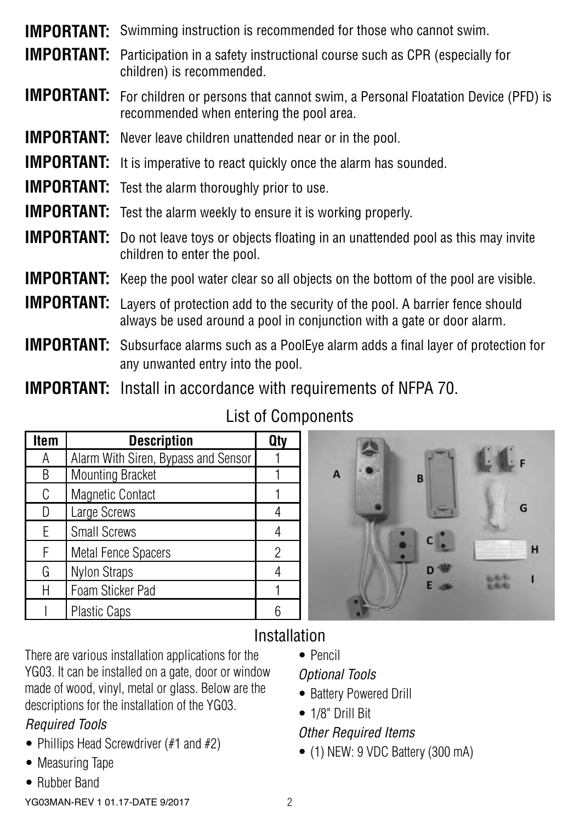| <b>IMPORTANT:</b> Participation in a safety instructional course such as CPR (especially for<br>children) is recommended.                                                |
|--------------------------------------------------------------------------------------------------------------------------------------------------------------------------|
| <b>IMPORTANT:</b> For children or persons that cannot swim, a Personal Floatation Device (PFD) is<br>recommended when entering the pool area.                            |
| <b>IMPORTANT:</b> Never leave children unattended near or in the pool.                                                                                                   |
| <b>IMPORTANT:</b> It is imperative to react quickly once the alarm has sounded.                                                                                          |
| <b>IMPORTANT:</b> Test the alarm thoroughly prior to use.                                                                                                                |
| <b>IMPORTANT:</b> Test the alarm weekly to ensure it is working properly.                                                                                                |
| <b>IMPORTANT:</b> Do not leave toys or objects floating in an unattended pool as this may invite<br>children to enter the pool.                                          |
| <b>IMPORTANT:</b> Keep the pool water clear so all objects on the bottom of the pool are visible.                                                                        |
| <b>IMPORTANT:</b> Layers of protection add to the security of the pool. A barrier fence should<br>always be used around a pool in conjunction with a gate or door alarm. |
| <b>IMPORTANT:</b> Subsurface alarms such as a PoolEye alarm adds a final layer of protection for<br>any unwanted entry into the pool.                                    |

**IMPORTANT:** Swimming instruction is recommended for those who cannot swim.

**IMPORTANT:** Install in accordance with requirements of NFPA 70.

| Item | <b>Description</b>                  |  |
|------|-------------------------------------|--|
| А    | Alarm With Siren, Bypass and Sensor |  |
| B    | <b>Mounting Bracket</b>             |  |
| C    | <b>Magnetic Contact</b>             |  |
| D    | Large Screws                        |  |
| F    | Small Screws                        |  |
| F    | <b>Metal Fence Spacers</b>          |  |
| G    | <b>Nylon Straps</b>                 |  |
|      | Foam Sticker Pad                    |  |
|      | <b>Plastic Caps</b>                 |  |

List of Components



### Installation

There are various installation applications for the YG03. It can be installed on a gate, door or window made of wood, vinyl, metal or glass. Below are the descriptions for the installation of the YG03.

### *Required Tools*

- Phillips Head Screwdriver (#1 and #2)
- Measuring Tape
- Rubber Band

YG03MAN-REV 1 01.17-DATE 9/2017 2

• Pencil

#### *Optional Tools*

- Battery Powered Drill
- 1/8" Drill Bit

#### *Other Required Items*

• (1) NEW: 9 VDC Battery (300 mA)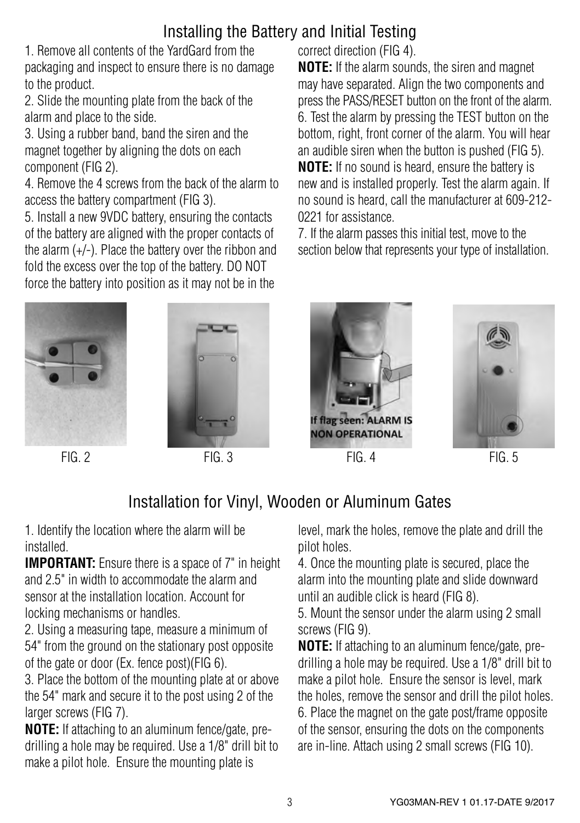## Installing the Battery and Initial Testing

1. Remove all contents of the YardGard from the packaging and inspect to ensure there is no damage to the product.

2. Slide the mounting plate from the back of the alarm and place to the side.

3. Using a rubber band, band the siren and the magnet together by aligning the dots on each component (FIG 2).

4. Remove the 4 screws from the back of the alarm to access the battery compartment (FIG 3).

5. Install a new 9VDC battery, ensuring the contacts of the battery are aligned with the proper contacts of the alarm (+/-). Place the battery over the ribbon and fold the excess over the top of the battery. DO NOT force the battery into position as it may not be in the

correct direction (FIG 4).

**NOTE:** If the alarm sounds, the siren and magnet may have separated. Align the two components and press the PASS/RESET button on the front of the alarm. 6. Test the alarm by pressing the TEST button on the bottom, right, front corner of the alarm. You will hear an audible siren when the button is pushed (FIG 5). **NOTE:** If no sound is heard, ensure the battery is new and is installed properly. Test the alarm again. If no sound is heard, call the manufacturer at 609-212- 0221 for assistance.

7. If the alarm passes this initial test, move to the section below that represents your type of installation.









FIG. 2 FIG. 3 FIG. 4 FIG. 5



# Installation for Vinyl, Wooden or Aluminum Gates

1. Identify the location where the alarm will be installed.

**IMPORTANT:** Ensure there is a space of 7" in height and 2.5" in width to accommodate the alarm and sensor at the installation location. Account for locking mechanisms or handles.

2. Using a measuring tape, measure a minimum of 54" from the ground on the stationary post opposite of the gate or door (Ex. fence post)(FIG 6).

3. Place the bottom of the mounting plate at or above the 54" mark and secure it to the post using 2 of the larger screws (FIG 7).

**NOTE:** If attaching to an aluminum fence/gate, predrilling a hole may be required. Use a 1/8" drill bit to make a pilot hole. Ensure the mounting plate is

level, mark the holes, remove the plate and drill the pilot holes.

4. Once the mounting plate is secured, place the alarm into the mounting plate and slide downward until an audible click is heard (FIG 8).

5. Mount the sensor under the alarm using 2 small screws (FIG 9).

**NOTE:** If attaching to an aluminum fence/gate, predrilling a hole may be required. Use a 1/8" drill bit to make a pilot hole. Ensure the sensor is level, mark the holes, remove the sensor and drill the pilot holes. 6. Place the magnet on the gate post/frame opposite of the sensor, ensuring the dots on the components are in-line. Attach using 2 small screws (FIG 10).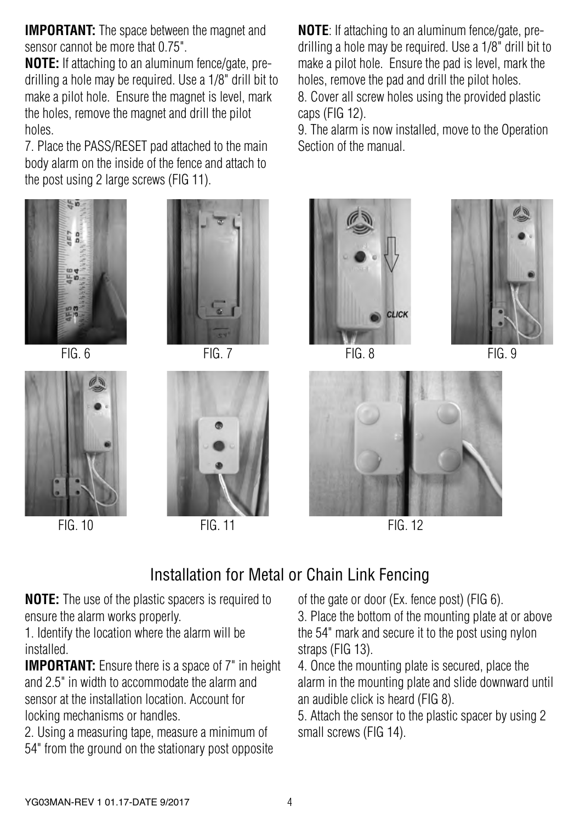**IMPORTANT:** The space between the magnet and sensor cannot be more that 0.75"

**NOTE:** If attaching to an aluminum fence/gate, predrilling a hole may be required. Use a 1/8" drill bit to make a pilot hole. Ensure the magnet is level, mark the holes, remove the magnet and drill the pilot holes.

7. Place the PASS/RESET pad attached to the main body alarm on the inside of the fence and attach to the post using 2 large screws (FIG 11).











FIG. 10 FIG. 11 FIG. 12

**NOTE**: If attaching to an aluminum fence/gate, predrilling a hole may be required. Use a 1/8" drill bit to make a pilot hole. Ensure the pad is level, mark the holes, remove the pad and drill the pilot holes. 8. Cover all screw holes using the provided plastic caps (FIG 12).

9. The alarm is now installed, move to the Operation Section of the manual.





FIG. 6 FIG. 7 FIG. 8

FIG. 9



### Installation for Metal or Chain Link Fencing

**NOTE:** The use of the plastic spacers is required to ensure the alarm works properly.

1. Identify the location where the alarm will be installed.

**IMPORTANT:** Ensure there is a space of 7" in height and 2.5" in width to accommodate the alarm and sensor at the installation location. Account for locking mechanisms or handles.

2. Using a measuring tape, measure a minimum of 54" from the ground on the stationary post opposite

of the gate or door (Ex. fence post) (FIG 6). 3. Place the bottom of the mounting plate at or above the 54" mark and secure it to the post using nylon straps (FIG 13).

4. Once the mounting plate is secured, place the alarm in the mounting plate and slide downward until an audible click is heard (FIG 8).

5. Attach the sensor to the plastic spacer by using 2 small screws (FIG 14).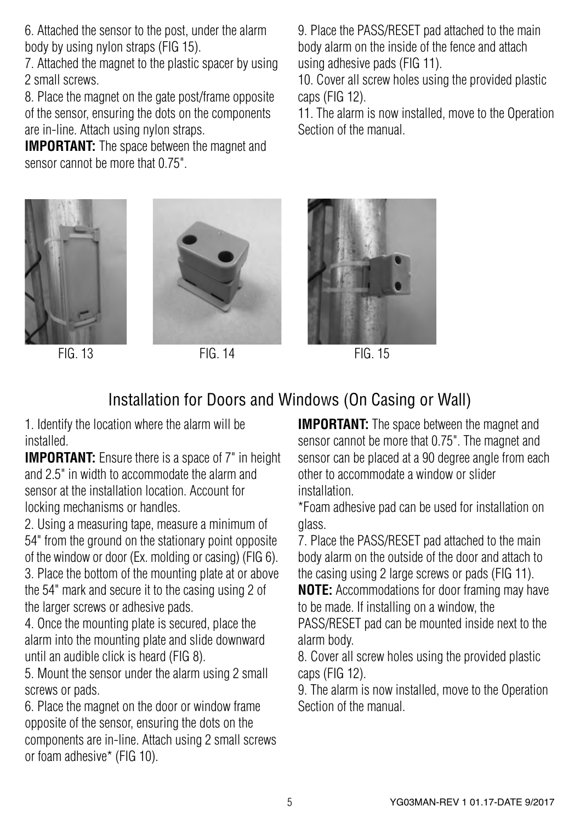6. Attached the sensor to the post, under the alarm body by using nylon straps (FIG 15).

7. Attached the magnet to the plastic spacer by using 2 small screws.

8. Place the magnet on the gate post/frame opposite of the sensor, ensuring the dots on the components are in-line. Attach using nylon straps.

**IMPORTANT:** The space between the magnet and sensor cannot be more that 0.75"





FIG. 13 FIG. 14 FIG. 15

9. Place the PASS/RESET pad attached to the main body alarm on the inside of the fence and attach using adhesive pads (FIG 11).

10. Cover all screw holes using the provided plastic caps (FIG 12).

11. The alarm is now installed, move to the Operation Section of the manual.



### Installation for Doors and Windows (On Casing or Wall)

1. Identify the location where the alarm will be installed.

**IMPORTANT:** Ensure there is a space of 7" in height and 2.5" in width to accommodate the alarm and sensor at the installation location. Account for locking mechanisms or handles.

2. Using a measuring tape, measure a minimum of 54" from the ground on the stationary point opposite of the window or door (Ex. molding or casing) (FIG 6).

3. Place the bottom of the mounting plate at or above the 54" mark and secure it to the casing using 2 of the larger screws or adhesive pads.

4. Once the mounting plate is secured, place the alarm into the mounting plate and slide downward until an audible click is heard (FIG 8).

5. Mount the sensor under the alarm using 2 small screws or pads.

6. Place the magnet on the door or window frame opposite of the sensor, ensuring the dots on the components are in-line. Attach using 2 small screws or foam adhesive\* (FIG 10).

**IMPORTANT:** The space between the magnet and sensor cannot be more that 0.75". The magnet and sensor can be placed at a 90 degree angle from each other to accommodate a window or slider installation.

\*Foam adhesive pad can be used for installation on glass.

7. Place the PASS/RESET pad attached to the main body alarm on the outside of the door and attach to the casing using 2 large screws or pads (FIG 11).

**NOTE:** Accommodations for door framing may have to be made. If installing on a window, the

PASS/RESET pad can be mounted inside next to the alarm body.

8. Cover all screw holes using the provided plastic caps (FIG 12).

9. The alarm is now installed, move to the Operation Section of the manual.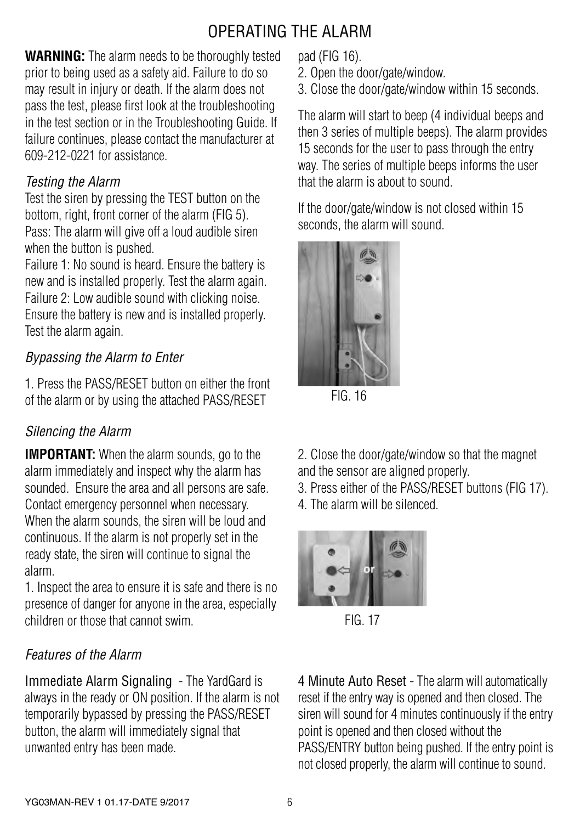## OPERATING THE ALARM

**WARNING:** The alarm needs to be thoroughly tested prior to being used as a safety aid. Failure to do so may result in injury or death. If the alarm does not pass the test, please first look at the troubleshooting in the test section or in the Troubleshooting Guide. If failure continues, please contact the manufacturer at 609-212-0221 for assistance.

#### *Testing the Alarm*

Test the siren by pressing the TEST button on the bottom, right, front corner of the alarm (FIG 5). Pass: The alarm will give off a loud audible siren when the button is pushed.

Failure 1: No sound is heard. Ensure the battery is new and is installed properly. Test the alarm again. Failure 2: Low audible sound with clicking noise. Ensure the battery is new and is installed properly. Test the alarm again.

#### *Bypassing the Alarm to Enter*

1. Press the PASS/RESET button on either the front of the alarm or by using the attached PASS/RESET

### *Silencing the Alarm*

**IMPORTANT:** When the alarm sounds, go to the alarm immediately and inspect why the alarm has sounded. Ensure the area and all persons are safe. Contact emergency personnel when necessary. When the alarm sounds, the siren will be loud and continuous. If the alarm is not properly set in the ready state, the siren will continue to signal the alarm.

1. Inspect the area to ensure it is safe and there is no presence of danger for anyone in the area, especially children or those that cannot swim.

### *Features of the Alarm*

Immediate Alarm Signaling - The YardGard is always in the ready or ON position. If the alarm is not temporarily bypassed by pressing the PASS/RESET button, the alarm will immediately signal that unwanted entry has been made.

pad (FIG 16).

- 2. Open the door/gate/window.
- 3. Close the door/gate/window within 15 seconds.

The alarm will start to beep (4 individual beeps and then 3 series of multiple beeps). The alarm provides 15 seconds for the user to pass through the entry way. The series of multiple beeps informs the user that the alarm is about to sound.

If the door/gate/window is not closed within 15 seconds, the alarm will sound.



FIG. 16

2. Close the door/gate/window so that the magnet and the sensor are aligned properly.

- 3. Press either of the PASS/RESET buttons (FIG 17).
- 4. The alarm will be silenced.



FIG. 17

4 Minute Auto Reset - The alarm will automatically reset if the entry way is opened and then closed. The siren will sound for 4 minutes continuously if the entry point is opened and then closed without the PASS/ENTRY button being pushed. If the entry point is not closed properly, the alarm will continue to sound.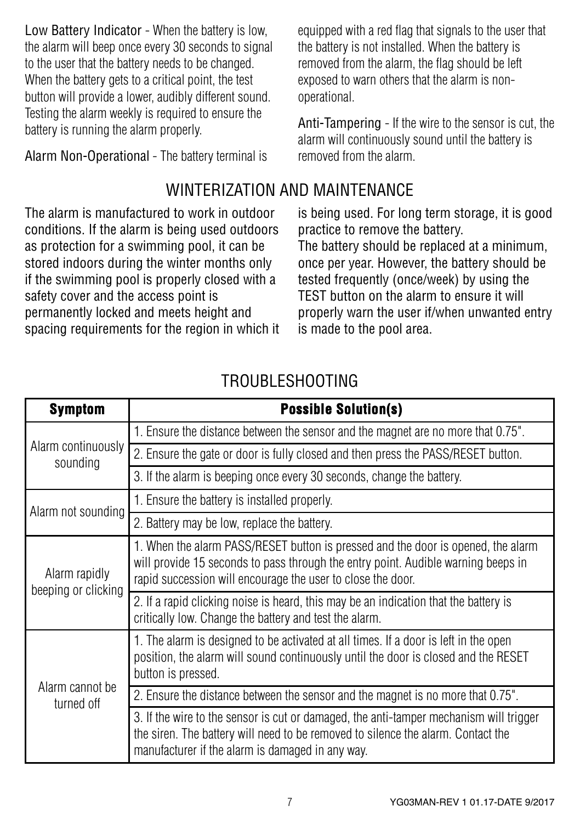Low Battery Indicator - When the battery is low, the alarm will beep once every 30 seconds to signal to the user that the battery needs to be changed. When the battery gets to a critical point, the test button will provide a lower, audibly different sound. Testing the alarm weekly is required to ensure the battery is running the alarm properly.

Alarm Non-Operational - The battery terminal is

### WINTERIZATION AND MAINTENANCE

The alarm is manufactured to work in outdoor conditions. If the alarm is being used outdoors as protection for a swimming pool, it can be stored indoors during the winter months only if the swimming pool is properly closed with a safety cover and the access point is permanently locked and meets height and spacing requirements for the region in which it is being used. For long term storage, it is good practice to remove the battery.

The battery should be replaced at a minimum, once per year. However, the battery should be tested frequently (once/week) by using the TEST button on the alarm to ensure it will properly warn the user if/when unwanted entry is made to the pool area.

| <b>Symptom</b>                       | <b>Possible Solution(s)</b>                                                                                                                                                                                                          |
|--------------------------------------|--------------------------------------------------------------------------------------------------------------------------------------------------------------------------------------------------------------------------------------|
| Alarm continuously<br>sounding       | 1. Ensure the distance between the sensor and the magnet are no more that 0.75".                                                                                                                                                     |
|                                      | 2. Ensure the gate or door is fully closed and then press the PASS/RESET button.                                                                                                                                                     |
|                                      | 3. If the alarm is beeping once every 30 seconds, change the battery.                                                                                                                                                                |
| Alarm not sounding                   | 1. Ensure the battery is installed properly.                                                                                                                                                                                         |
|                                      | 2. Battery may be low, replace the battery.                                                                                                                                                                                          |
| Alarm rapidly<br>beeping or clicking | 1. When the alarm PASS/RESET button is pressed and the door is opened, the alarm<br>will provide 15 seconds to pass through the entry point. Audible warning beeps in<br>rapid succession will encourage the user to close the door. |
|                                      | 2. If a rapid clicking noise is heard, this may be an indication that the battery is<br>critically low. Change the battery and test the alarm.                                                                                       |
| Alarm cannot be<br>turned off        | 1. The alarm is designed to be activated at all times. If a door is left in the open<br>position, the alarm will sound continuously until the door is closed and the RESET<br>button is pressed.                                     |
|                                      | 2. Ensure the distance between the sensor and the magnet is no more that 0.75".                                                                                                                                                      |
|                                      | 3. If the wire to the sensor is cut or damaged, the anti-tamper mechanism will trigger<br>the siren. The battery will need to be removed to silence the alarm. Contact the<br>manufacturer if the alarm is damaged in any way.       |

### TROUBLESHOOTING

equipped with a red flag that signals to the user that the battery is not installed. When the battery is removed from the alarm, the flag should be left exposed to warn others that the alarm is nonoperational.

Anti-Tampering - If the wire to the sensor is cut, the alarm will continuously sound until the battery is removed from the alarm.